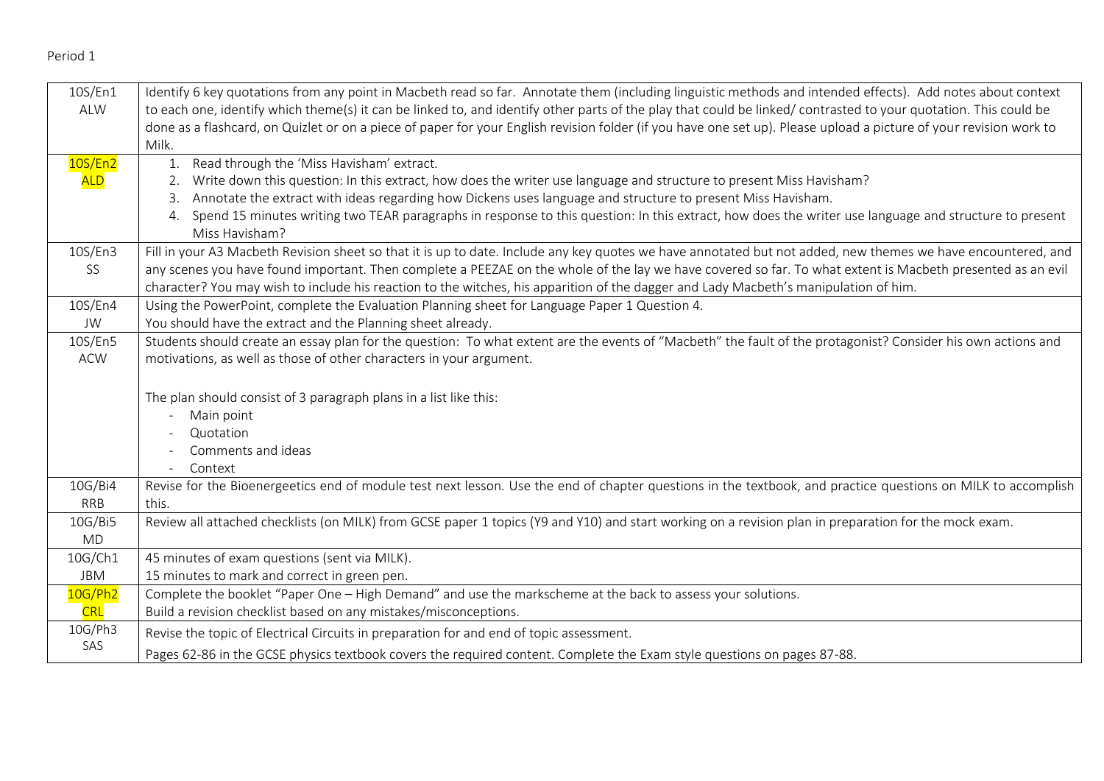| 10S/En1    | Identify 6 key quotations from any point in Macbeth read so far. Annotate them (including linguistic methods and intended effects). Add notes about context        |
|------------|--------------------------------------------------------------------------------------------------------------------------------------------------------------------|
| ALW        | to each one, identify which theme(s) it can be linked to, and identify other parts of the play that could be linked/ contrasted to your quotation. This could be   |
|            | done as a flashcard, on Quizlet or on a piece of paper for your English revision folder (if you have one set up). Please upload a picture of your revision work to |
|            | Milk.                                                                                                                                                              |
| 10S/En2    | Read through the 'Miss Havisham' extract.<br>1.                                                                                                                    |
| <b>ALD</b> | Write down this question: In this extract, how does the writer use language and structure to present Miss Havisham?                                                |
|            | Annotate the extract with ideas regarding how Dickens uses language and structure to present Miss Havisham.                                                        |
|            | Spend 15 minutes writing two TEAR paragraphs in response to this question: In this extract, how does the writer use language and structure to present<br>4.        |
|            | Miss Havisham?                                                                                                                                                     |
| 10S/En3    | Fill in your A3 Macbeth Revision sheet so that it is up to date. Include any key quotes we have annotated but not added, new themes we have encountered, and       |
| SS         | any scenes you have found important. Then complete a PEEZAE on the whole of the lay we have covered so far. To what extent is Macbeth presented as an evil         |
|            | character? You may wish to include his reaction to the witches, his apparition of the dagger and Lady Macbeth's manipulation of him.                               |
| 10S/En4    | Using the PowerPoint, complete the Evaluation Planning sheet for Language Paper 1 Question 4.                                                                      |
| JW         | You should have the extract and the Planning sheet already.                                                                                                        |
| 10S/En5    | Students should create an essay plan for the question: To what extent are the events of "Macbeth" the fault of the protagonist? Consider his own actions and       |
| <b>ACW</b> | motivations, as well as those of other characters in your argument.                                                                                                |
|            |                                                                                                                                                                    |
|            | The plan should consist of 3 paragraph plans in a list like this:                                                                                                  |
|            | Main point                                                                                                                                                         |
|            | Quotation                                                                                                                                                          |
|            | Comments and ideas                                                                                                                                                 |
|            | Context<br>$\sim$                                                                                                                                                  |
| 10G/Bi4    | Revise for the Bioenergeetics end of module test next lesson. Use the end of chapter questions in the textbook, and practice questions on MILK to accomplish       |
| <b>RRB</b> | this.                                                                                                                                                              |
| 10G/Bi5    | Review all attached checklists (on MILK) from GCSE paper 1 topics (Y9 and Y10) and start working on a revision plan in preparation for the mock exam.              |
| <b>MD</b>  |                                                                                                                                                                    |
| 10G/Ch1    | 45 minutes of exam questions (sent via MILK).                                                                                                                      |
| <b>JBM</b> | 15 minutes to mark and correct in green pen.                                                                                                                       |
| 10G/Ph2    | Complete the booklet "Paper One - High Demand" and use the markscheme at the back to assess your solutions.                                                        |
| <b>CRL</b> | Build a revision checklist based on any mistakes/misconceptions.                                                                                                   |
| 10G/Ph3    | Revise the topic of Electrical Circuits in preparation for and end of topic assessment.                                                                            |
| SAS        | Pages 62-86 in the GCSE physics textbook covers the required content. Complete the Exam style questions on pages 87-88.                                            |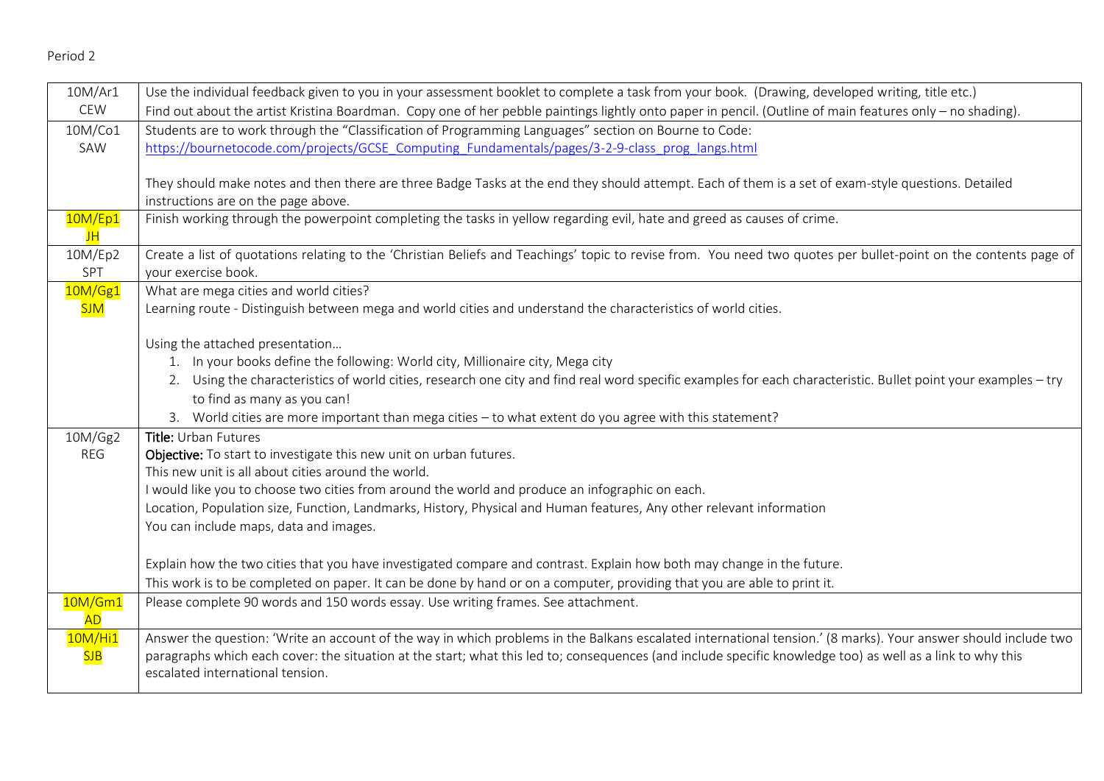| 10M/Ar1               | Use the individual feedback given to you in your assessment booklet to complete a task from your book. (Drawing, developed writing, title etc.)                  |
|-----------------------|------------------------------------------------------------------------------------------------------------------------------------------------------------------|
| CEW                   | Find out about the artist Kristina Boardman. Copy one of her pebble paintings lightly onto paper in pencil. (Outline of main features only - no shading).        |
| 10M/Co1               | Students are to work through the "Classification of Programming Languages" section on Bourne to Code:                                                            |
| SAW                   | https://bournetocode.com/projects/GCSE Computing Fundamentals/pages/3-2-9-class prog langs.html                                                                  |
|                       |                                                                                                                                                                  |
|                       | They should make notes and then there are three Badge Tasks at the end they should attempt. Each of them is a set of exam-style questions. Detailed              |
|                       | instructions are on the page above.                                                                                                                              |
| 10M/Ep1               | Finish working through the powerpoint completing the tasks in yellow regarding evil, hate and greed as causes of crime.                                          |
| JH                    |                                                                                                                                                                  |
| 10M/Ep2               | Create a list of quotations relating to the 'Christian Beliefs and Teachings' topic to revise from. You need two quotes per bullet-point on the contents page of |
| SPT                   | your exercise book.<br>What are mega cities and world cities?                                                                                                    |
| 10M/Gg1<br><b>SJM</b> | Learning route - Distinguish between mega and world cities and understand the characteristics of world cities.                                                   |
|                       |                                                                                                                                                                  |
|                       | Using the attached presentation                                                                                                                                  |
|                       | 1. In your books define the following: World city, Millionaire city, Mega city                                                                                   |
|                       | 2. Using the characteristics of world cities, research one city and find real word specific examples for each characteristic. Bullet point your examples - try   |
|                       | to find as many as you can!                                                                                                                                      |
|                       | 3. World cities are more important than mega cities - to what extent do you agree with this statement?                                                           |
| 10M/Gg2               | Title: Urban Futures                                                                                                                                             |
| <b>REG</b>            | Objective: To start to investigate this new unit on urban futures.                                                                                               |
|                       | This new unit is all about cities around the world.                                                                                                              |
|                       | I would like you to choose two cities from around the world and produce an infographic on each.                                                                  |
|                       | Location, Population size, Function, Landmarks, History, Physical and Human features, Any other relevant information                                             |
|                       | You can include maps, data and images.                                                                                                                           |
|                       |                                                                                                                                                                  |
|                       | Explain how the two cities that you have investigated compare and contrast. Explain how both may change in the future.                                           |
|                       | This work is to be completed on paper. It can be done by hand or on a computer, providing that you are able to print it.                                         |
| <b>AD</b>             |                                                                                                                                                                  |
| 10M/Hi1               | Answer the question: 'Write an account of the way in which problems in the Balkans escalated international tension.' (8 marks). Your answer should include two   |
| <b>SJB</b>            | paragraphs which each cover: the situation at the start; what this led to; consequences (and include specific knowledge too) as well as a link to why this       |
|                       | escalated international tension.                                                                                                                                 |
| 10M/Gm1               | Please complete 90 words and 150 words essay. Use writing frames. See attachment.                                                                                |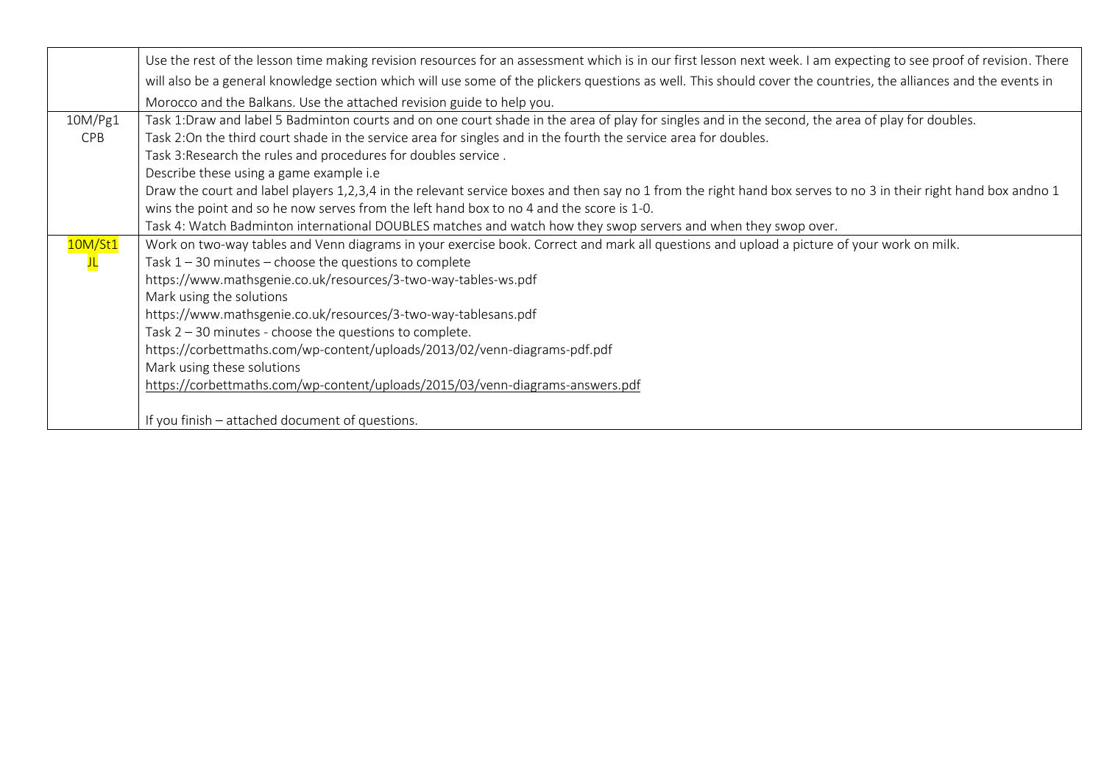|            | Use the rest of the lesson time making revision resources for an assessment which is in our first lesson next week. I am expecting to see proof of revision. There |
|------------|--------------------------------------------------------------------------------------------------------------------------------------------------------------------|
|            | will also be a general knowledge section which will use some of the plickers questions as well. This should cover the countries, the alliances and the events in   |
|            | Morocco and the Balkans. Use the attached revision guide to help you.                                                                                              |
| 10M/Pg1    | Task 1:Draw and label 5 Badminton courts and on one court shade in the area of play for singles and in the second, the area of play for doubles.                   |
| <b>CPB</b> | Task 2:On the third court shade in the service area for singles and in the fourth the service area for doubles.                                                    |
|            | Task 3: Research the rules and procedures for doubles service.                                                                                                     |
|            | Describe these using a game example i.e                                                                                                                            |
|            | Draw the court and label players 1,2,3,4 in the relevant service boxes and then say no 1 from the right hand box serves to no 3 in their right hand box andno 1    |
|            | wins the point and so he now serves from the left hand box to no 4 and the score is 1-0.                                                                           |
|            | Task 4: Watch Badminton international DOUBLES matches and watch how they swop servers and when they swop over.                                                     |
| 10M/St1    | Work on two-way tables and Venn diagrams in your exercise book. Correct and mark all questions and upload a picture of your work on milk.                          |
| JL,        | Task $1 - 30$ minutes $-$ choose the questions to complete                                                                                                         |
|            | https://www.mathsgenie.co.uk/resources/3-two-way-tables-ws.pdf                                                                                                     |
|            | Mark using the solutions                                                                                                                                           |
|            | https://www.mathsgenie.co.uk/resources/3-two-way-tablesans.pdf                                                                                                     |
|            | Task $2 - 30$ minutes - choose the questions to complete.                                                                                                          |
|            | https://corbettmaths.com/wp-content/uploads/2013/02/venn-diagrams-pdf.pdf                                                                                          |
|            | Mark using these solutions                                                                                                                                         |
|            | https://corbettmaths.com/wp-content/uploads/2015/03/venn-diagrams-answers.pdf                                                                                      |
|            |                                                                                                                                                                    |
|            | If you finish - attached document of questions.                                                                                                                    |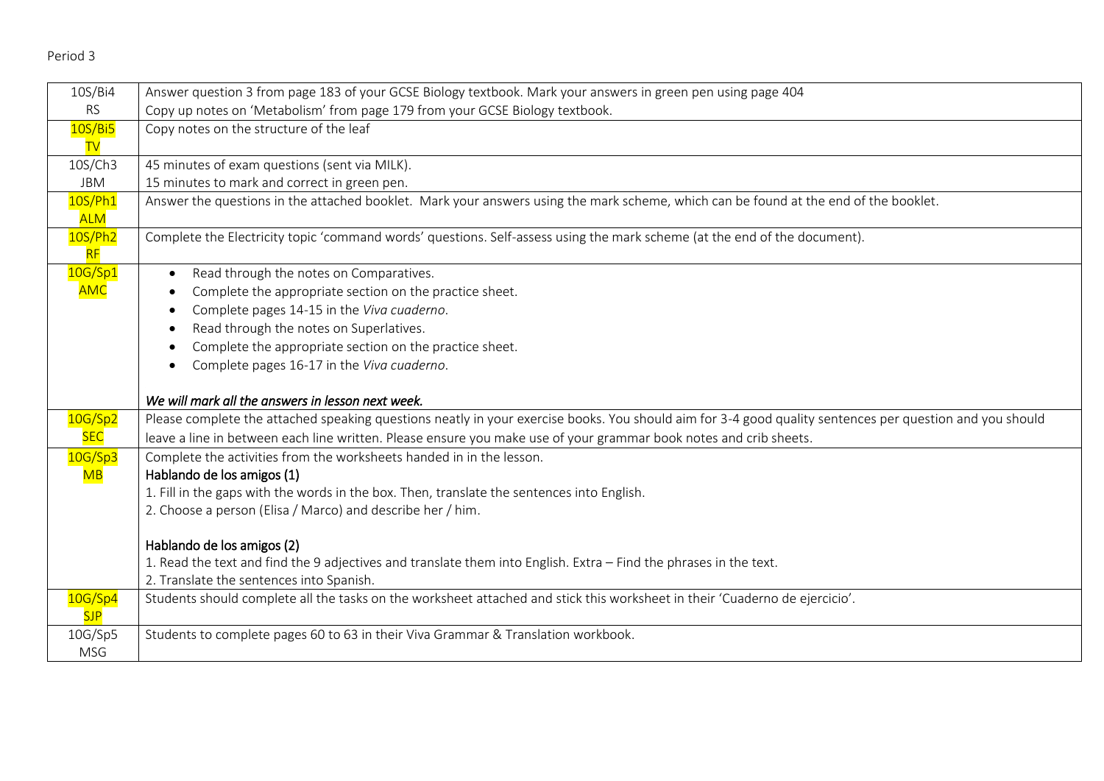| 10S/Bi4               | Answer question 3 from page 183 of your GCSE Biology textbook. Mark your answers in green pen using page 404                                             |
|-----------------------|----------------------------------------------------------------------------------------------------------------------------------------------------------|
| <b>RS</b>             | Copy up notes on 'Metabolism' from page 179 from your GCSE Biology textbook.                                                                             |
| 10S/Bi5<br><b>TV</b>  | Copy notes on the structure of the leaf                                                                                                                  |
| 10S/Ch3               | 45 minutes of exam questions (sent via MILK).                                                                                                            |
| <b>JBM</b>            | 15 minutes to mark and correct in green pen.                                                                                                             |
| 10S/Ph1<br><b>ALM</b> | Answer the questions in the attached booklet. Mark your answers using the mark scheme, which can be found at the end of the booklet.                     |
| 10S/Ph2<br><b>RF</b>  | Complete the Electricity topic 'command words' questions. Self-assess using the mark scheme (at the end of the document).                                |
| 10G/Sp1               | Read through the notes on Comparatives.<br>$\bullet$                                                                                                     |
| <b>AMC</b>            | Complete the appropriate section on the practice sheet.                                                                                                  |
|                       | Complete pages 14-15 in the Viva cuaderno.                                                                                                               |
|                       | Read through the notes on Superlatives.<br>$\bullet$                                                                                                     |
|                       | Complete the appropriate section on the practice sheet.                                                                                                  |
|                       | Complete pages 16-17 in the Viva cuaderno.                                                                                                               |
|                       | We will mark all the answers in lesson next week.                                                                                                        |
| 10G/Sp2               | Please complete the attached speaking questions neatly in your exercise books. You should aim for 3-4 good quality sentences per question and you should |
| <b>SEC</b>            | leave a line in between each line written. Please ensure you make use of your grammar book notes and crib sheets.                                        |
| 10G/Sp3               | Complete the activities from the worksheets handed in in the lesson.                                                                                     |
| MB                    | Hablando de los amigos (1)                                                                                                                               |
|                       | 1. Fill in the gaps with the words in the box. Then, translate the sentences into English.                                                               |
|                       | 2. Choose a person (Elisa / Marco) and describe her / him.                                                                                               |
|                       | Hablando de los amigos (2)                                                                                                                               |
|                       | 1. Read the text and find the 9 adjectives and translate them into English. Extra - Find the phrases in the text.                                        |
|                       | 2. Translate the sentences into Spanish.                                                                                                                 |
| 10G/Sp4<br><b>SJP</b> | Students should complete all the tasks on the worksheet attached and stick this worksheet in their 'Cuaderno de ejercicio'.                              |
| 10G/Sp5               | Students to complete pages 60 to 63 in their Viva Grammar & Translation workbook.                                                                        |
| <b>MSG</b>            |                                                                                                                                                          |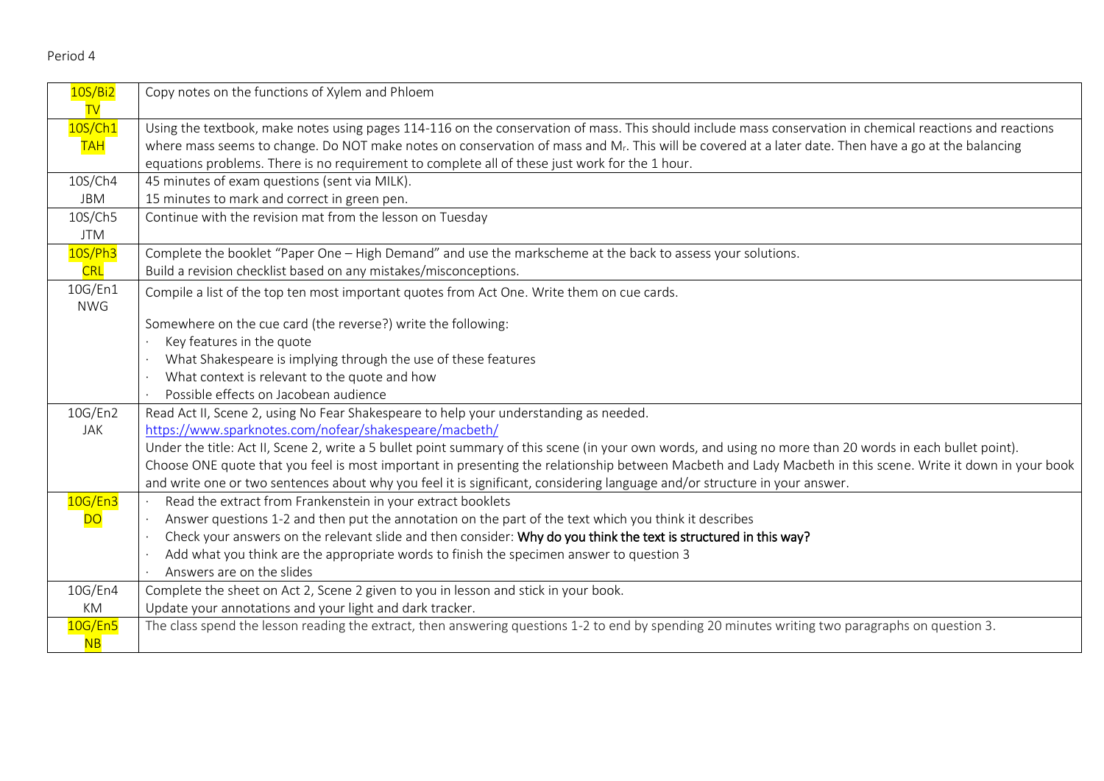| 10S/Bi2<br>TV              | Copy notes on the functions of Xylem and Phloem                                                                                                                                                                                                                                                                                                                                                                                 |
|----------------------------|---------------------------------------------------------------------------------------------------------------------------------------------------------------------------------------------------------------------------------------------------------------------------------------------------------------------------------------------------------------------------------------------------------------------------------|
| 10S/Ch1<br><b>TAH</b>      | Using the textbook, make notes using pages 114-116 on the conservation of mass. This should include mass conservation in chemical reactions and reactions<br>where mass seems to change. Do NOT make notes on conservation of mass and M <sub>r</sub> . This will be covered at a later date. Then have a go at the balancing<br>equations problems. There is no requirement to complete all of these just work for the 1 hour. |
| 10S/Ch4                    | 45 minutes of exam questions (sent via MILK).                                                                                                                                                                                                                                                                                                                                                                                   |
| <b>JBM</b>                 | 15 minutes to mark and correct in green pen.                                                                                                                                                                                                                                                                                                                                                                                    |
| 10S/Ch5<br><b>JTM</b>      | Continue with the revision mat from the lesson on Tuesday                                                                                                                                                                                                                                                                                                                                                                       |
| 10S/Ph3                    | Complete the booklet "Paper One - High Demand" and use the markscheme at the back to assess your solutions.                                                                                                                                                                                                                                                                                                                     |
| <b>CRL</b>                 | Build a revision checklist based on any mistakes/misconceptions.                                                                                                                                                                                                                                                                                                                                                                |
| 10G/En1                    | Compile a list of the top ten most important quotes from Act One. Write them on cue cards.                                                                                                                                                                                                                                                                                                                                      |
| <b>NWG</b>                 |                                                                                                                                                                                                                                                                                                                                                                                                                                 |
|                            | Somewhere on the cue card (the reverse?) write the following:                                                                                                                                                                                                                                                                                                                                                                   |
|                            | Key features in the quote                                                                                                                                                                                                                                                                                                                                                                                                       |
|                            | What Shakespeare is implying through the use of these features                                                                                                                                                                                                                                                                                                                                                                  |
|                            | What context is relevant to the quote and how<br>Possible effects on Jacobean audience                                                                                                                                                                                                                                                                                                                                          |
| 10G/En2                    | Read Act II, Scene 2, using No Fear Shakespeare to help your understanding as needed.                                                                                                                                                                                                                                                                                                                                           |
| <b>JAK</b>                 | https://www.sparknotes.com/nofear/shakespeare/macbeth/                                                                                                                                                                                                                                                                                                                                                                          |
|                            | Under the title: Act II, Scene 2, write a 5 bullet point summary of this scene (in your own words, and using no more than 20 words in each bullet point).                                                                                                                                                                                                                                                                       |
|                            | Choose ONE quote that you feel is most important in presenting the relationship between Macbeth and Lady Macbeth in this scene. Write it down in your book                                                                                                                                                                                                                                                                      |
|                            |                                                                                                                                                                                                                                                                                                                                                                                                                                 |
|                            |                                                                                                                                                                                                                                                                                                                                                                                                                                 |
|                            |                                                                                                                                                                                                                                                                                                                                                                                                                                 |
|                            |                                                                                                                                                                                                                                                                                                                                                                                                                                 |
|                            | Add what you think are the appropriate words to finish the specimen answer to question 3                                                                                                                                                                                                                                                                                                                                        |
|                            | Answers are on the slides                                                                                                                                                                                                                                                                                                                                                                                                       |
| 10G/En4                    | Complete the sheet on Act 2, Scene 2 given to you in lesson and stick in your book.                                                                                                                                                                                                                                                                                                                                             |
| KM                         | Update your annotations and your light and dark tracker.                                                                                                                                                                                                                                                                                                                                                                        |
| 10G/En5                    | The class spend the lesson reading the extract, then answering questions 1-2 to end by spending 20 minutes writing two paragraphs on question 3.                                                                                                                                                                                                                                                                                |
| 10G/En3<br><b>DO</b><br>NB | and write one or two sentences about why you feel it is significant, considering language and/or structure in your answer.<br>Read the extract from Frankenstein in your extract booklets<br>Answer questions 1-2 and then put the annotation on the part of the text which you think it describes<br>Check your answers on the relevant slide and then consider: Why do you think the text is structured in this way?          |